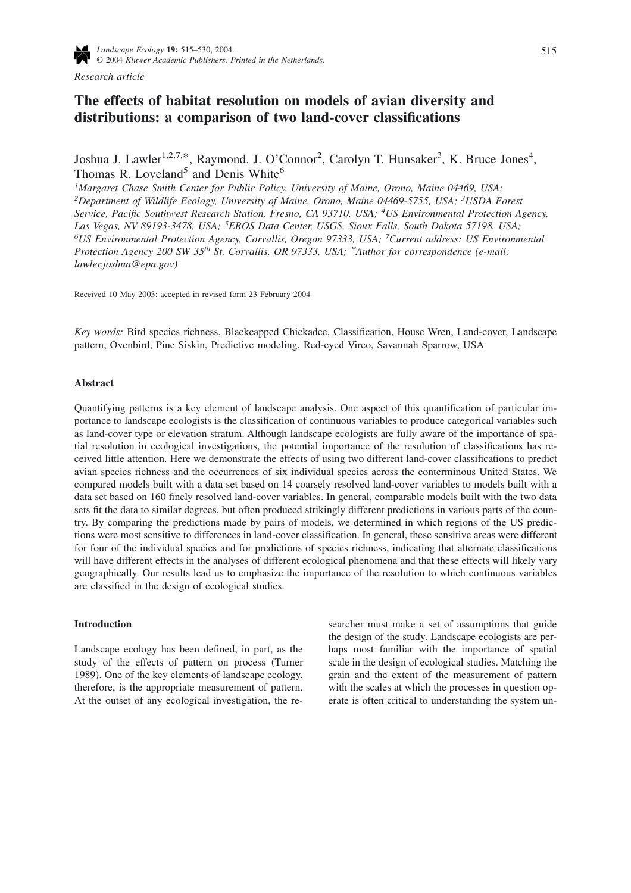

*Research article*

# **The effects of habitat resolution on models of avian diversity and distributions: a comparison of two land-cover classifications**

Joshua J. Lawler<sup>1,2,7,\*</sup>, Raymond. J. O'Connor<sup>2</sup>, Carolyn T. Hunsaker<sup>3</sup>, K. Bruce Jones<sup>4</sup>, Thomas R. Loveland<sup>5</sup> and Denis White<sup>6</sup>

*1 Margaret Chase Smith Center for Public Policy, University of Maine, Orono, Maine 04469, USA; 2 Department of Wildlife Ecology, University of Maine, Orono, Maine 04469-5755, USA; <sup>3</sup> USDA Forest Service, Pacific Southwest Research Station, Fresno, CA 93710, USA; <sup>4</sup> US Environmental Protection Agency, Las Vegas, NV 89193-3478, USA; 5EROS Data Center, USGS, Sioux Falls, South Dakota 57198, USA; 6US Environmental Protection Agency, Corvallis, Oregon 97333, USA; 7Current address: US Environmental Protection Agency 200 SW 35th St. Corvallis, OR 97333, USA; \*Author for correspondence (e-mail: lawler.joshua@epa.gov)*

Received 10 May 2003; accepted in revised form 23 February 2004

*Key words:* Bird species richness, Blackcapped Chickadee, Classification, House Wren, Land-cover, Landscape pattern, Ovenbird, Pine Siskin, Predictive modeling, Red-eyed Vireo, Savannah Sparrow, USA

#### **Abstract**

Quantifying patterns is a key element of landscape analysis. One aspect of this quantification of particular importance to landscape ecologists is the classification of continuous variables to produce categorical variables such as land-cover type or elevation stratum. Although landscape ecologists are fully aware of the importance of spatial resolution in ecological investigations, the potential importance of the resolution of classifications has received little attention. Here we demonstrate the effects of using two different land-cover classifications to predict avian species richness and the occurrences of six individual species across the conterminous United States. We compared models built with a data set based on 14 coarsely resolved land-cover variables to models built with a data set based on 160 finely resolved land-cover variables. In general, comparable models built with the two data sets fit the data to similar degrees, but often produced strikingly different predictions in various parts of the country. By comparing the predictions made by pairs of models, we determined in which regions of the US predictions were most sensitive to differences in land-cover classification. In general, these sensitive areas were different for four of the individual species and for predictions of species richness, indicating that alternate classifications will have different effects in the analyses of different ecological phenomena and that these effects will likely vary geographically. Our results lead us to emphasize the importance of the resolution to which continuous variables are classified in the design of ecological studies.

# **Introduction**

Landscape ecology has been defined, in part, as the study of the effects of pattern on process Turner 1989). One of the key elements of landscape ecology, therefore, is the appropriate measurement of pattern. At the outset of any ecological investigation, the researcher must make a set of assumptions that guide the design of the study. Landscape ecologists are perhaps most familiar with the importance of spatial scale in the design of ecological studies. Matching the grain and the extent of the measurement of pattern with the scales at which the processes in question operate is often critical to understanding the system un-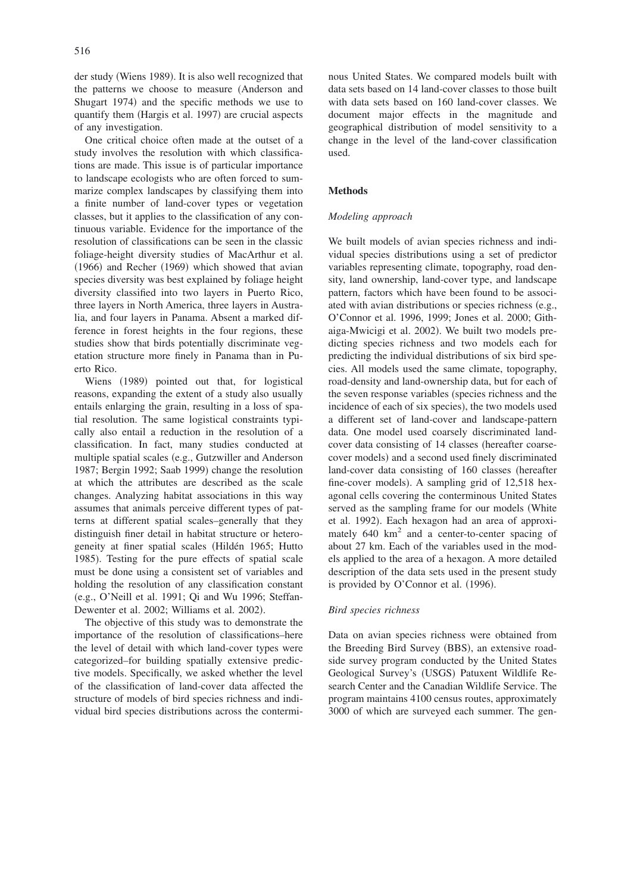der study (Wiens 1989). It is also well recognized that the patterns we choose to measure (Anderson and Shugart 1974) and the specific methods we use to quantify them (Hargis et al. 1997) are crucial aspects of any investigation.

One critical choice often made at the outset of a study involves the resolution with which classifications are made. This issue is of particular importance to landscape ecologists who are often forced to summarize complex landscapes by classifying them into a finite number of land-cover types or vegetation classes, but it applies to the classification of any continuous variable. Evidence for the importance of the resolution of classifications can be seen in the classic foliage-height diversity studies of MacArthur et al.  $(1966)$  and Recher  $(1969)$  which showed that avian species diversity was best explained by foliage height diversity classified into two layers in Puerto Rico, three layers in North America, three layers in Australia, and four layers in Panama. Absent a marked difference in forest heights in the four regions, these studies show that birds potentially discriminate vegetation structure more finely in Panama than in Puerto Rico.

Wiens (1989) pointed out that, for logistical reasons, expanding the extent of a study also usually entails enlarging the grain, resulting in a loss of spatial resolution. The same logistical constraints typically also entail a reduction in the resolution of a classification. In fact, many studies conducted at multiple spatial scales (e.g., Gutzwiller and Anderson 1987; Bergin 1992; Saab 1999) change the resolution at which the attributes are described as the scale changes. Analyzing habitat associations in this way assumes that animals perceive different types of patterns at different spatial scales–generally that they distinguish finer detail in habitat structure or heterogeneity at finer spatial scales (Hildén 1965; Hutto 1985). Testing for the pure effects of spatial scale must be done using a consistent set of variables and holding the resolution of any classification constant e.g., O'Neill et al. 1991; Qi and Wu 1996; Steffan-Dewenter et al. 2002; Williams et al. 2002).

The objective of this study was to demonstrate the importance of the resolution of classifications–here the level of detail with which land-cover types were categorized–for building spatially extensive predictive models. Specifically, we asked whether the level of the classification of land-cover data affected the structure of models of bird species richness and individual bird species distributions across the conterminous United States. We compared models built with data sets based on 14 land-cover classes to those built with data sets based on 160 land-cover classes. We document major effects in the magnitude and geographical distribution of model sensitivity to a change in the level of the land-cover classification used.

# **Methods**

# *Modeling approach*

We built models of avian species richness and individual species distributions using a set of predictor variables representing climate, topography, road density, land ownership, land-cover type, and landscape pattern, factors which have been found to be associated with avian distributions or species richness (e.g., O'Connor et al. 1996, 1999; Jones et al. 2000; Githaiga-Mwicigi et al. 2002). We built two models predicting species richness and two models each for predicting the individual distributions of six bird species. All models used the same climate, topography, road-density and land-ownership data, but for each of the seven response variables (species richness and the incidence of each of six species), the two models used a different set of land-cover and landscape-pattern data. One model used coarsely discriminated landcover data consisting of 14 classes (hereafter coarsecover models) and a second used finely discriminated land-cover data consisting of 160 classes (hereafter fine-cover models). A sampling grid of 12,518 hexagonal cells covering the conterminous United States served as the sampling frame for our models White et al. 1992). Each hexagon had an area of approximately 640 km<sup>2</sup> and a center-to-center spacing of about 27 km. Each of the variables used in the models applied to the area of a hexagon. A more detailed description of the data sets used in the present study is provided by O'Connor et al. (1996).

#### *Bird species richness*

Data on avian species richness were obtained from the Breeding Bird Survey (BBS), an extensive roadside survey program conducted by the United States Geological Survey's (USGS) Patuxent Wildlife Research Center and the Canadian Wildlife Service. The program maintains 4100 census routes, approximately 3000 of which are surveyed each summer. The gen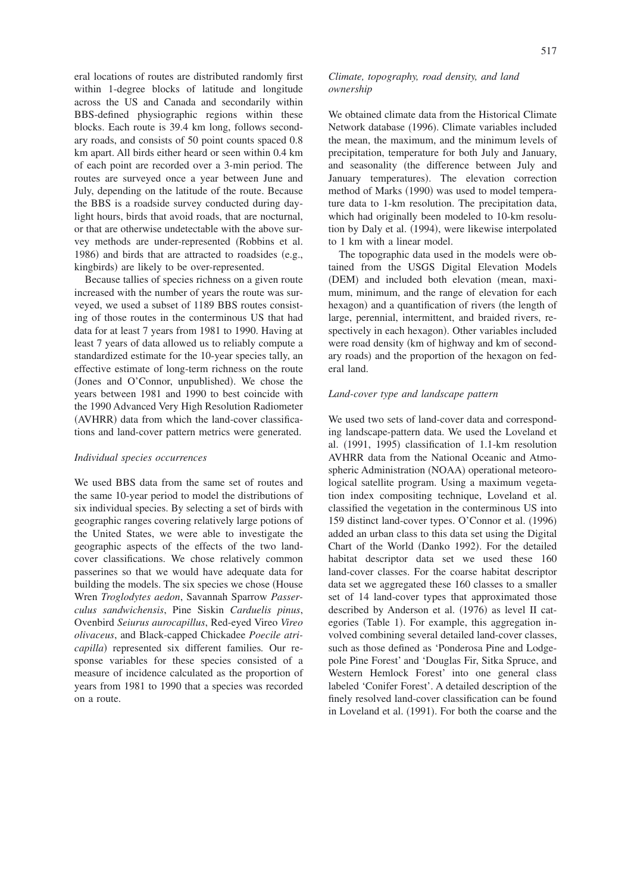eral locations of routes are distributed randomly first within 1-degree blocks of latitude and longitude across the US and Canada and secondarily within BBS-defined physiographic regions within these blocks. Each route is 39.4 km long, follows secondary roads, and consists of 50 point counts spaced 0.8 km apart. All birds either heard or seen within 0.4 km of each point are recorded over a 3-min period. The routes are surveyed once a year between June and July, depending on the latitude of the route. Because the BBS is a roadside survey conducted during daylight hours, birds that avoid roads, that are nocturnal, or that are otherwise undetectable with the above survey methods are under-represented Robbins et al. 1986) and birds that are attracted to roadsides (e.g., kingbirds) are likely to be over-represented.

Because tallies of species richness on a given route increased with the number of years the route was surveyed, we used a subset of 1189 BBS routes consisting of those routes in the conterminous US that had data for at least 7 years from 1981 to 1990. Having at least 7 years of data allowed us to reliably compute a standardized estimate for the 10-year species tally, an effective estimate of long-term richness on the route (Jones and O'Connor, unpublished). We chose the years between 1981 and 1990 to best coincide with the 1990 Advanced Very High Resolution Radiometer (AVHRR) data from which the land-cover classifications and land-cover pattern metrics were generated.

#### *Individual species occurrences*

We used BBS data from the same set of routes and the same 10-year period to model the distributions of six individual species. By selecting a set of birds with geographic ranges covering relatively large potions of the United States, we were able to investigate the geographic aspects of the effects of the two landcover classifications. We chose relatively common passerines so that we would have adequate data for building the models. The six species we chose (House Wren *Troglodytes aedon*, Savannah Sparrow *Passerculus sandwichensis*, Pine Siskin *Carduelis pinus*, Ovenbird *Seiurus aurocapillus*, Red-eyed Vireo *Vireo olivaceus*, and Black-capped Chickadee *Poecile atri*capilla) represented six different families. Our response variables for these species consisted of a measure of incidence calculated as the proportion of years from 1981 to 1990 that a species was recorded on a route.

We obtained climate data from the Historical Climate Network database (1996). Climate variables included the mean, the maximum, and the minimum levels of precipitation, temperature for both July and January, and seasonality (the difference between July and January temperatures). The elevation correction method of Marks (1990) was used to model temperature data to 1-km resolution. The precipitation data, which had originally been modeled to 10-km resolution by Daly et al. (1994), were likewise interpolated to 1 km with a linear model.

The topographic data used in the models were obtained from the USGS Digital Elevation Models (DEM) and included both elevation (mean, maximum, minimum, and the range of elevation for each hexagon) and a quantification of rivers (the length of large, perennial, intermittent, and braided rivers, respectively in each hexagon). Other variables included were road density (km of highway and km of secondary roads) and the proportion of the hexagon on federal land.

#### *Land-cover type and landscape pattern*

We used two sets of land-cover data and corresponding landscape-pattern data. We used the Loveland et al. (1991, 1995) classification of 1.1-km resolution AVHRR data from the National Oceanic and Atmospheric Administration (NOAA) operational meteorological satellite program. Using a maximum vegetation index compositing technique, Loveland et al. classified the vegetation in the conterminous US into 159 distinct land-cover types. O'Connor et al. (1996) added an urban class to this data set using the Digital Chart of the World (Danko 1992). For the detailed habitat descriptor data set we used these 160 land-cover classes. For the coarse habitat descriptor data set we aggregated these 160 classes to a smaller set of 14 land-cover types that approximated those described by Anderson et al. (1976) as level II categories (Table 1). For example, this aggregation involved combining several detailed land-cover classes, such as those defined as 'Ponderosa Pine and Lodgepole Pine Forest' and 'Douglas Fir, Sitka Spruce, and Western Hemlock Forest' into one general class labeled 'Conifer Forest'. A detailed description of the finely resolved land-cover classification can be found in Loveland et al. (1991). For both the coarse and the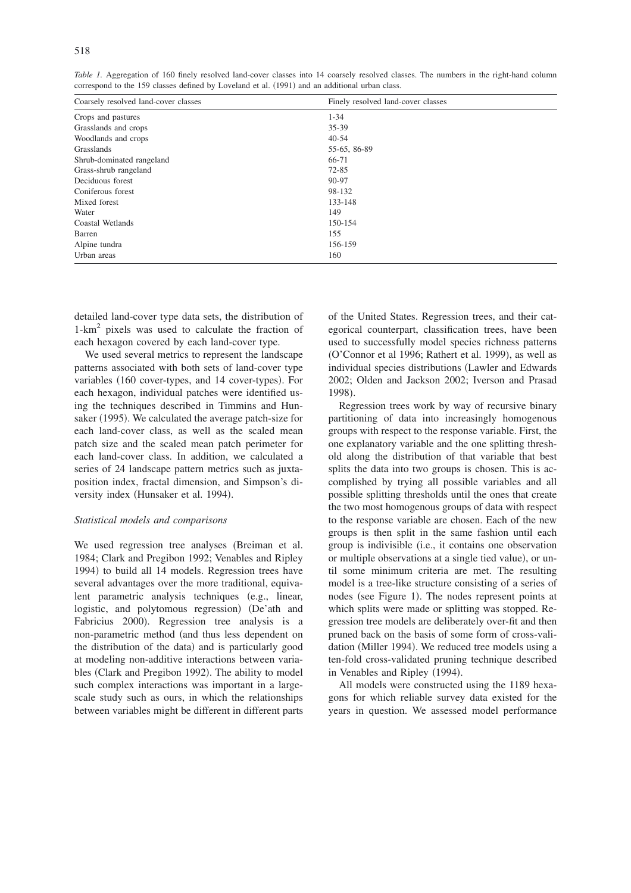| Coarsely resolved land-cover classes | Finely resolved land-cover classes |  |
|--------------------------------------|------------------------------------|--|
| Crops and pastures                   | $1 - 34$                           |  |
| Grasslands and crops                 | 35-39                              |  |
| Woodlands and crops                  | $40 - 54$                          |  |
| Grasslands                           | 55-65, 86-89                       |  |
| Shrub-dominated rangeland            | 66-71                              |  |
| Grass-shrub rangeland                | $72 - 85$                          |  |
| Deciduous forest                     | 90-97                              |  |
| Coniferous forest                    | 98-132                             |  |
| Mixed forest                         | 133-148                            |  |
| Water                                | 149                                |  |
| Coastal Wetlands                     | 150-154                            |  |
| Barren                               | 155                                |  |
| Alpine tundra                        | 156-159                            |  |
| Urban areas                          | 160                                |  |

*Table 1.* Aggregation of 160 finely resolved land-cover classes into 14 coarsely resolved classes. The numbers in the right-hand column correspond to the 159 classes defined by Loveland et al. (1991) and an additional urban class.

detailed land-cover type data sets, the distribution of 1-km<sup>2</sup> pixels was used to calculate the fraction of each hexagon covered by each land-cover type.

We used several metrics to represent the landscape patterns associated with both sets of land-cover type variables (160 cover-types, and 14 cover-types). For each hexagon, individual patches were identified using the techniques described in Timmins and Hunsaker (1995). We calculated the average patch-size for each land-cover class, as well as the scaled mean patch size and the scaled mean patch perimeter for each land-cover class. In addition, we calculated a series of 24 landscape pattern metrics such as juxtaposition index, fractal dimension, and Simpson's diversity index (Hunsaker et al. 1994).

#### *Statistical models and comparisons*

We used regression tree analyses (Breiman et al. 1984; Clark and Pregibon 1992; Venables and Ripley 1994) to build all 14 models. Regression trees have several advantages over the more traditional, equivalent parametric analysis techniques (e.g., linear, logistic, and polytomous regression) (De'ath and Fabricius 2000). Regression tree analysis is a non-parametric method (and thus less dependent on the distribution of the data) and is particularly good at modeling non-additive interactions between variables (Clark and Pregibon 1992). The ability to model such complex interactions was important in a largescale study such as ours, in which the relationships between variables might be different in different parts of the United States. Regression trees, and their categorical counterpart, classification trees, have been used to successfully model species richness patterns (O'Connor et al 1996; Rathert et al. 1999), as well as individual species distributions (Lawler and Edwards 2002; Olden and Jackson 2002; Iverson and Prasad 1998).

Regression trees work by way of recursive binary partitioning of data into increasingly homogenous groups with respect to the response variable. First, the one explanatory variable and the one splitting threshold along the distribution of that variable that best splits the data into two groups is chosen. This is accomplished by trying all possible variables and all possible splitting thresholds until the ones that create the two most homogenous groups of data with respect to the response variable are chosen. Each of the new groups is then split in the same fashion until each group is indivisible (i.e., it contains one observation or multiple observations at a single tied value), or until some minimum criteria are met. The resulting model is a tree-like structure consisting of a series of nodes (see Figure 1). The nodes represent points at which splits were made or splitting was stopped. Regression tree models are deliberately over-fit and then pruned back on the basis of some form of cross-validation (Miller 1994). We reduced tree models using a ten-fold cross-validated pruning technique described in Venables and Ripley (1994).

All models were constructed using the 1189 hexagons for which reliable survey data existed for the years in question. We assessed model performance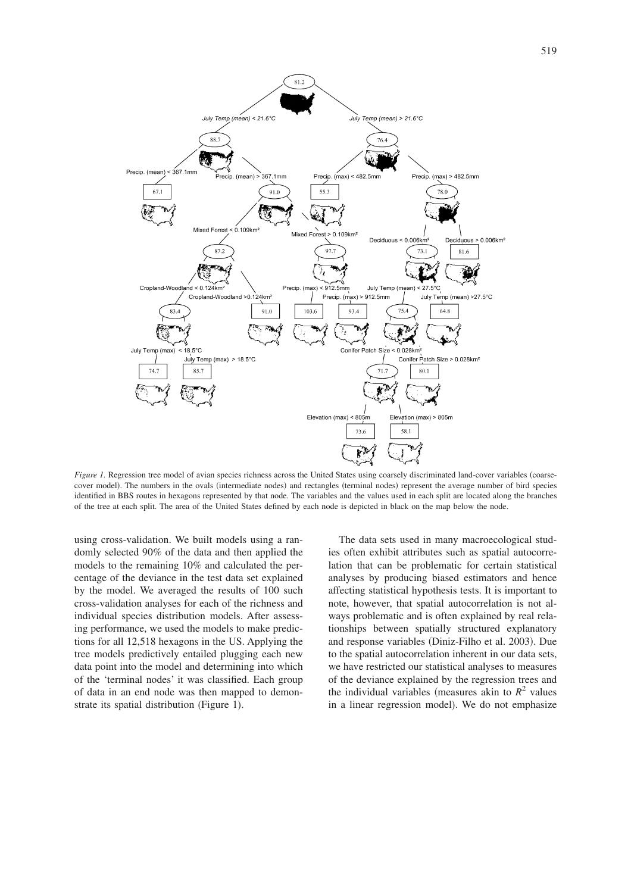

*Figure 1.* Regression tree model of avian species richness across the United States using coarsely discriminated land-cover variables (coarsecover model). The numbers in the ovals (intermediate nodes) and rectangles (terminal nodes) represent the average number of bird species identified in BBS routes in hexagons represented by that node. The variables and the values used in each split are located along the branches of the tree at each split. The area of the United States defined by each node is depicted in black on the map below the node.

using cross-validation. We built models using a randomly selected 90% of the data and then applied the models to the remaining 10% and calculated the percentage of the deviance in the test data set explained by the model. We averaged the results of 100 such cross-validation analyses for each of the richness and individual species distribution models. After assessing performance, we used the models to make predictions for all 12,518 hexagons in the US. Applying the tree models predictively entailed plugging each new data point into the model and determining into which of the 'terminal nodes' it was classified. Each group of data in an end node was then mapped to demonstrate its spatial distribution (Figure 1).

The data sets used in many macroecological studies often exhibit attributes such as spatial autocorrelation that can be problematic for certain statistical analyses by producing biased estimators and hence affecting statistical hypothesis tests. It is important to note, however, that spatial autocorrelation is not always problematic and is often explained by real relationships between spatially structured explanatory and response variables (Diniz-Filho et al. 2003). Due to the spatial autocorrelation inherent in our data sets, we have restricted our statistical analyses to measures of the deviance explained by the regression trees and the individual variables (measures akin to  $R^2$  values in a linear regression model). We do not emphasize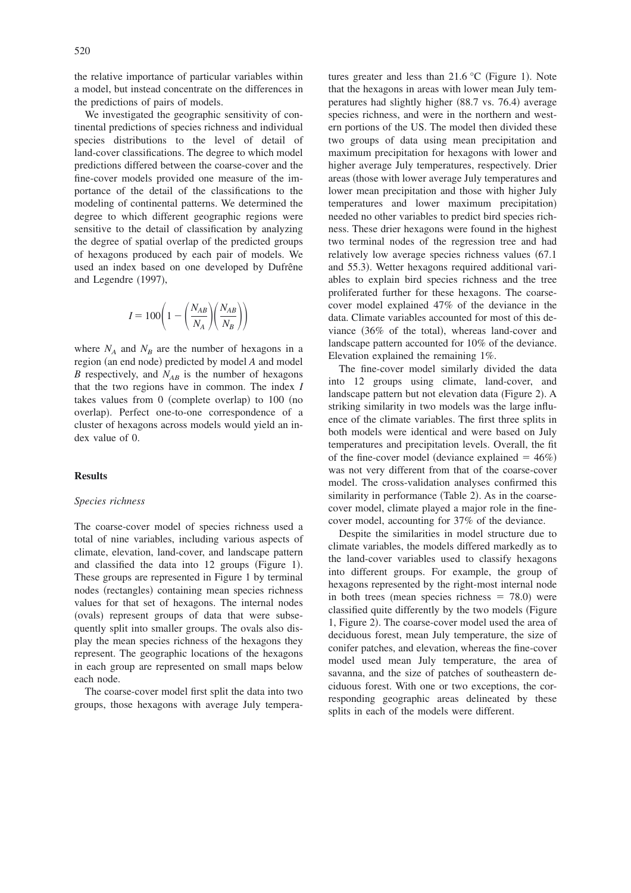the relative importance of particular variables within a model, but instead concentrate on the differences in the predictions of pairs of models.

We investigated the geographic sensitivity of continental predictions of species richness and individual species distributions to the level of detail of land-cover classifications. The degree to which model predictions differed between the coarse-cover and the fine-cover models provided one measure of the importance of the detail of the classifications to the modeling of continental patterns. We determined the degree to which different geographic regions were sensitive to the detail of classification by analyzing the degree of spatial overlap of the predicted groups of hexagons produced by each pair of models. We used an index based on one developed by Dufrêne and Legendre (1997),

$$
I = 100 \bigg( 1 - \bigg( \frac{N_{AB}}{N_A} \bigg) \bigg( \frac{N_{AB}}{N_B} \bigg) \bigg)
$$

where  $N_A$  and  $N_B$  are the number of hexagons in a region (an end node) predicted by model A and model *B* respectively, and  $N_{AB}$  is the number of hexagons that the two regions have in common. The index *I* takes values from 0 (complete overlap) to 100 (no overlap). Perfect one-to-one correspondence of a cluster of hexagons across models would yield an index value of 0.

### **Results**

#### *Species richness*

The coarse-cover model of species richness used a total of nine variables, including various aspects of climate, elevation, land-cover, and landscape pattern and classified the data into  $12$  groups (Figure 1). These groups are represented in Figure 1 by terminal nodes (rectangles) containing mean species richness values for that set of hexagons. The internal nodes (ovals) represent groups of data that were subsequently split into smaller groups. The ovals also display the mean species richness of the hexagons they represent. The geographic locations of the hexagons in each group are represented on small maps below each node.

The coarse-cover model first split the data into two groups, those hexagons with average July tempera-

tures greater and less than  $21.6 \degree C$  (Figure 1). Note that the hexagons in areas with lower mean July temperatures had slightly higher (88.7 vs. 76.4) average species richness, and were in the northern and western portions of the US. The model then divided these two groups of data using mean precipitation and maximum precipitation for hexagons with lower and higher average July temperatures, respectively. Drier areas (those with lower average July temperatures and lower mean precipitation and those with higher July temperatures and lower maximum precipitation) needed no other variables to predict bird species richness. These drier hexagons were found in the highest two terminal nodes of the regression tree and had relatively low average species richness values (67.1) and 55.3). Wetter hexagons required additional variables to explain bird species richness and the tree proliferated further for these hexagons. The coarsecover model explained 47% of the deviance in the data. Climate variables accounted for most of this deviance  $(36\%$  of the total), whereas land-cover and landscape pattern accounted for 10% of the deviance. Elevation explained the remaining 1%.

The fine-cover model similarly divided the data into 12 groups using climate, land-cover, and landscape pattern but not elevation data (Figure 2). A striking similarity in two models was the large influence of the climate variables. The first three splits in both models were identical and were based on July temperatures and precipitation levels. Overall, the fit of the fine-cover model (deviance explained  $= 46\%)$ was not very different from that of the coarse-cover model. The cross-validation analyses confirmed this similarity in performance (Table 2). As in the coarsecover model, climate played a major role in the finecover model, accounting for 37% of the deviance.

Despite the similarities in model structure due to climate variables, the models differed markedly as to the land-cover variables used to classify hexagons into different groups. For example, the group of hexagons represented by the right-most internal node in both trees (mean species richness  $= 78.0$ ) were classified quite differently by the two models (Figure 1, Figure 2). The coarse-cover model used the area of deciduous forest, mean July temperature, the size of conifer patches, and elevation, whereas the fine-cover model used mean July temperature, the area of savanna, and the size of patches of southeastern deciduous forest. With one or two exceptions, the corresponding geographic areas delineated by these splits in each of the models were different.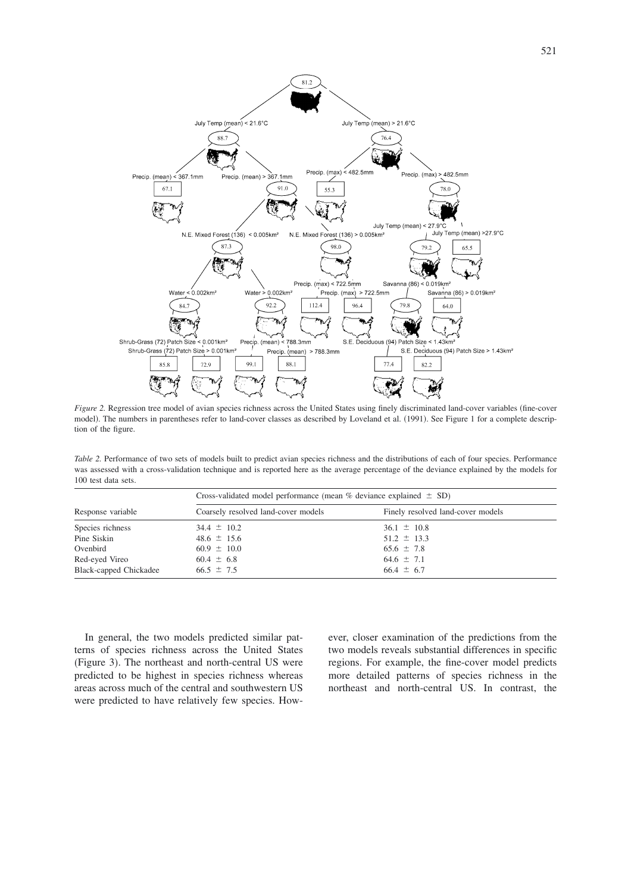

*Figure 2.* Regression tree model of avian species richness across the United States using finely discriminated land-cover variables (fine-cover model). The numbers in parentheses refer to land-cover classes as described by Loveland et al. (1991). See Figure 1 for a complete description of the figure.

*Table 2.* Performance of two sets of models built to predict avian species richness and the distributions of each of four species. Performance was assessed with a cross-validation technique and is reported here as the average percentage of the deviance explained by the models for 100 test data sets.

|                        | Cross-validated model performance (mean % deviance explained $\pm$ SD) |                                   |
|------------------------|------------------------------------------------------------------------|-----------------------------------|
| Response variable      | Coarsely resolved land-cover models                                    | Finely resolved land-cover models |
| Species richness       | $34.4 \pm 10.2$                                                        | $36.1 \pm 10.8$                   |
| Pine Siskin            | $48.6 \pm 15.6$                                                        | $51.2 \pm 13.3$                   |
| Ovenbird               | $60.9 \pm 10.0$                                                        | $65.6 \pm 7.8$                    |
| Red-eved Vireo         | $60.4 \pm 6.8$                                                         | $64.6 \pm 7.1$                    |
| Black-capped Chickadee | $66.5 \pm 7.5$                                                         | $66.4 \pm 6.7$                    |

In general, the two models predicted similar patterns of species richness across the United States (Figure 3). The northeast and north-central US were predicted to be highest in species richness whereas areas across much of the central and southwestern US were predicted to have relatively few species. However, closer examination of the predictions from the two models reveals substantial differences in specific regions. For example, the fine-cover model predicts more detailed patterns of species richness in the northeast and north-central US. In contrast, the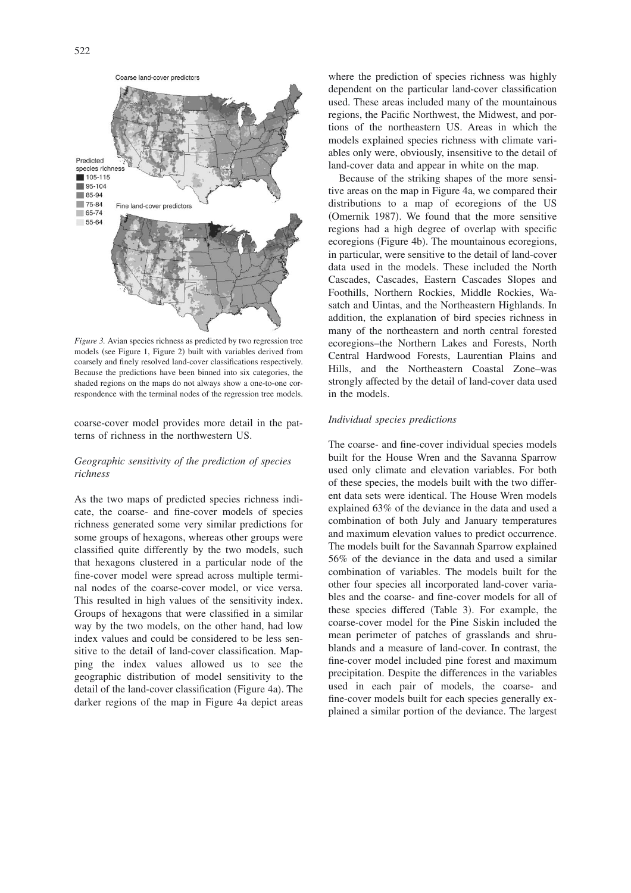

*Figure 3.* Avian species richness as predicted by two regression tree models (see Figure 1, Figure 2) built with variables derived from coarsely and finely resolved land-cover classifications respectively. Because the predictions have been binned into six categories, the shaded regions on the maps do not always show a one-to-one correspondence with the terminal nodes of the regression tree models.

coarse-cover model provides more detail in the patterns of richness in the northwestern US.

# *Geographic sensitivity of the prediction of species richness*

As the two maps of predicted species richness indicate, the coarse- and fine-cover models of species richness generated some very similar predictions for some groups of hexagons, whereas other groups were classified quite differently by the two models, such that hexagons clustered in a particular node of the fine-cover model were spread across multiple terminal nodes of the coarse-cover model, or vice versa. This resulted in high values of the sensitivity index. Groups of hexagons that were classified in a similar way by the two models, on the other hand, had low index values and could be considered to be less sensitive to the detail of land-cover classification. Mapping the index values allowed us to see the geographic distribution of model sensitivity to the detail of the land-cover classification (Figure 4a). The darker regions of the map in Figure 4a depict areas where the prediction of species richness was highly dependent on the particular land-cover classification used. These areas included many of the mountainous regions, the Pacific Northwest, the Midwest, and portions of the northeastern US. Areas in which the models explained species richness with climate variables only were, obviously, insensitive to the detail of land-cover data and appear in white on the map.

Because of the striking shapes of the more sensitive areas on the map in Figure 4a, we compared their distributions to a map of ecoregions of the US (Omernik 1987). We found that the more sensitive regions had a high degree of overlap with specific ecoregions (Figure 4b). The mountainous ecoregions, in particular, were sensitive to the detail of land-cover data used in the models. These included the North Cascades, Cascades, Eastern Cascades Slopes and Foothills, Northern Rockies, Middle Rockies, Wasatch and Uintas, and the Northeastern Highlands. In addition, the explanation of bird species richness in many of the northeastern and north central forested ecoregions–the Northern Lakes and Forests, North Central Hardwood Forests, Laurentian Plains and Hills, and the Northeastern Coastal Zone–was strongly affected by the detail of land-cover data used in the models.

# *Individual species predictions*

The coarse- and fine-cover individual species models built for the House Wren and the Savanna Sparrow used only climate and elevation variables. For both of these species, the models built with the two different data sets were identical. The House Wren models explained 63% of the deviance in the data and used a combination of both July and January temperatures and maximum elevation values to predict occurrence. The models built for the Savannah Sparrow explained 56% of the deviance in the data and used a similar combination of variables. The models built for the other four species all incorporated land-cover variables and the coarse- and fine-cover models for all of these species differed (Table 3). For example, the coarse-cover model for the Pine Siskin included the mean perimeter of patches of grasslands and shrublands and a measure of land-cover. In contrast, the fine-cover model included pine forest and maximum precipitation. Despite the differences in the variables used in each pair of models, the coarse- and fine-cover models built for each species generally explained a similar portion of the deviance. The largest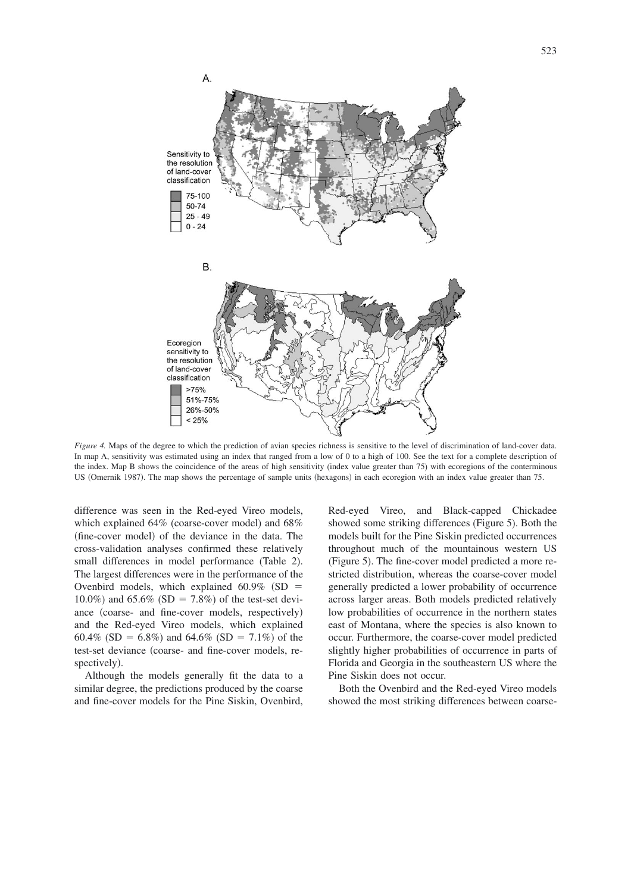

*Figure 4.* Maps of the degree to which the prediction of avian species richness is sensitive to the level of discrimination of land-cover data. In map A, sensitivity was estimated using an index that ranged from a low of 0 to a high of 100. See the text for a complete description of the index. Map B shows the coincidence of the areas of high sensitivity (index value greater than 75) with ecoregions of the conterminous US (Omernik 1987). The map shows the percentage of sample units (hexagons) in each ecoregion with an index value greater than 75.

difference was seen in the Red-eyed Vireo models, which explained 64% (coarse-cover model) and 68% (fine-cover model) of the deviance in the data. The cross-validation analyses confirmed these relatively small differences in model performance (Table 2). The largest differences were in the performance of the Ovenbird models, which explained  $60.9\%$  (SD = 10.0%) and 65.6% (SD = 7.8%) of the test-set deviance (coarse- and fine-cover models, respectively) and the Red-eyed Vireo models, which explained 60.4% (SD = 6.8%) and 64.6% (SD = 7.1%) of the test-set deviance (coarse- and fine-cover models, respectively).

Although the models generally fit the data to a similar degree, the predictions produced by the coarse and fine-cover models for the Pine Siskin, Ovenbird, Red-eyed Vireo, and Black-capped Chickadee showed some striking differences (Figure 5). Both the models built for the Pine Siskin predicted occurrences throughout much of the mountainous western US (Figure 5). The fine-cover model predicted a more restricted distribution, whereas the coarse-cover model generally predicted a lower probability of occurrence across larger areas. Both models predicted relatively low probabilities of occurrence in the northern states east of Montana, where the species is also known to occur. Furthermore, the coarse-cover model predicted slightly higher probabilities of occurrence in parts of Florida and Georgia in the southeastern US where the Pine Siskin does not occur.

Both the Ovenbird and the Red-eyed Vireo models showed the most striking differences between coarse-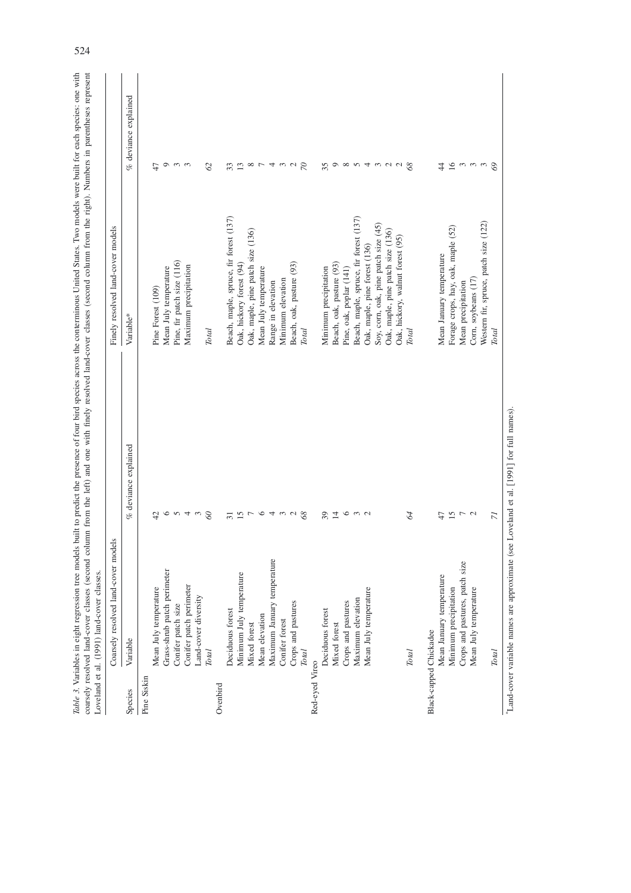| Loveland et al. (1991) land-cover classes. |                                                |                                                |                                        |                                                                       |
|--------------------------------------------|------------------------------------------------|------------------------------------------------|----------------------------------------|-----------------------------------------------------------------------|
|                                            | $\omega$<br>Coarsely resolved land-cover model |                                                | Finely resolved land-cover models      |                                                                       |
| Species                                    | Variable                                       | % deviance explained                           | Variable*                              | % deviance explained                                                  |
| Pine Siskin                                |                                                |                                                |                                        |                                                                       |
|                                            | Mean July temperature                          |                                                | Pine Forest (109)                      | 47                                                                    |
|                                            | Grass-shrub patch perimeter                    |                                                | Mean July temperature                  | $\sigma$ $\omega$ $\omega$                                            |
|                                            | Conifer patch size                             |                                                | Pine, fir patch size (116)             |                                                                       |
|                                            | Conifer patch perimeter                        |                                                | Maximum precipitation                  |                                                                       |
|                                            | Land-cover diversity                           | $4$ $\circ$ $\circ$ $4$ $\circ$ $\circ$        |                                        |                                                                       |
|                                            | <b>Total</b>                                   |                                                | <b>Total</b>                           | $\mathcal{O}$                                                         |
| Ovenbird                                   |                                                |                                                |                                        |                                                                       |
|                                            | Deciduous forest                               | $\overline{31}$                                | Beach, maple, spruce, fir forest (137) | 33                                                                    |
|                                            | Minimum July temperature                       |                                                | Oak, hickory forest (94)               |                                                                       |
|                                            | Mixed forest                                   | $\frac{7}{2}$                                  | Oak, maple, pine patch size (136)      |                                                                       |
|                                            | Mean elevation                                 |                                                | Mean July temperature                  | $\overline{u}$ $\infty$ $\mapsto$ $\downarrow$ $\omega$ $\sim$ $\sim$ |
|                                            | Maximum January temperature                    |                                                | Range in elevation                     |                                                                       |
|                                            | Conifer forest                                 |                                                | Minimum elevation                      |                                                                       |
|                                            | Crops and pastures                             | 0400                                           | Beach, oak, pasture (93)               |                                                                       |
|                                            | <b>Total</b>                                   | $\delta$                                       | <b>Total</b>                           |                                                                       |
| Red-eyed Vireo                             |                                                |                                                |                                        |                                                                       |
|                                            | Deciduous forest                               | 39                                             | Minimum precipitation                  |                                                                       |
|                                            | Mixed forest                                   | $\overline{4}$                                 | Beach, oak, pasture (93)               |                                                                       |
|                                            | Crops and pastures                             |                                                | Pine, oak, poplar (141)                |                                                                       |
|                                            | Maximum elevation                              | 632                                            | Beach, maple, spruce, fir forest (137) |                                                                       |
|                                            | Mean July temperature                          |                                                | Oak, maple, pine forest (136)          |                                                                       |
|                                            |                                                |                                                | Soy, corn, oak, pine patch size (45)   |                                                                       |
|                                            |                                                |                                                | Oak, maple, pine patch size (136)      |                                                                       |
|                                            |                                                |                                                | Oak, hickory, walnut forest (95)       | ちょうさんしょう                                                              |
|                                            | Total                                          | $\beta$                                        | <b>Total</b>                           |                                                                       |
| Black-capped Chickadee                     |                                                |                                                |                                        |                                                                       |
|                                            | Mean January temperature                       | 47                                             | Mean January temperature               | $\frac{4}{4}$                                                         |
|                                            | Minimum precipitation                          |                                                | Forage crops, hay, oak, maple (52)     | 16                                                                    |
|                                            | Crops and pastures, patch size                 | $\overline{12}$ $\overline{12}$ $\overline{2}$ | Mean precipitation                     |                                                                       |
|                                            | Mean July temperature                          |                                                | Corn, soybeans (17)                    | $\omega$ $\omega$ $\omega$                                            |
|                                            |                                                |                                                | Western fir, spruce, patch size (122)  |                                                                       |
|                                            | <b>Total</b>                                   | $\overline{7}$                                 | <b>Total</b>                           |                                                                       |

Table 3. Variables in eight regression tree models built to predict the presence of four bird species across the conterminous United States. Two models were built for each species: one with contemporary to the species one *Table 3.* Variables in eight regression tree models built to predict the presence of four bird species across the conterminous United States. Two models were built for each species: one with ) and one with finely resolved land-cover classes (second column from the right) coarsely resolved land-cover classes (second column from the left)

\*Land-cover variable names are approximate see Loveland et al. 1991 for full names-

.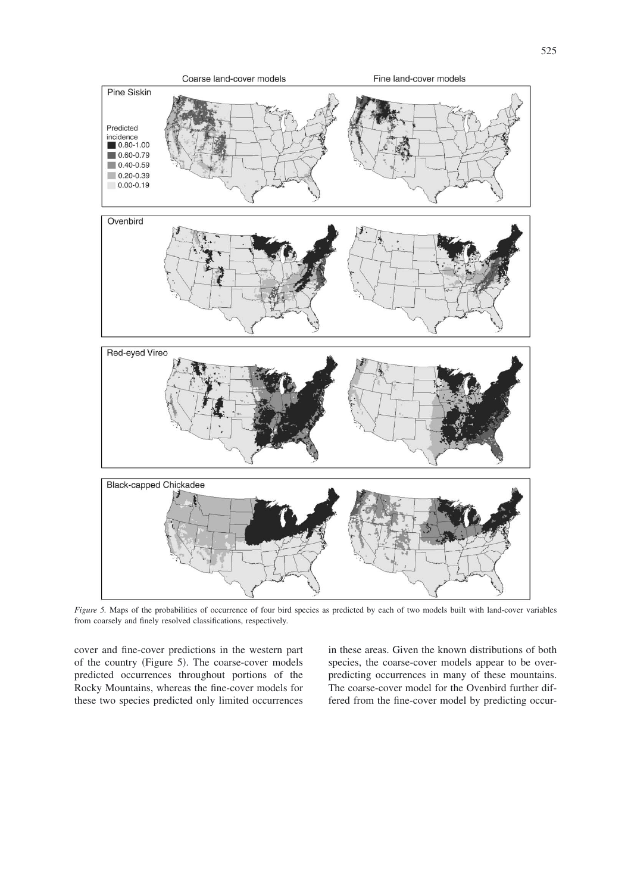

*Figure 5.* Maps of the probabilities of occurrence of four bird species as predicted by each of two models built with land-cover variables from coarsely and finely resolved classifications, respectively.

cover and fine-cover predictions in the western part of the country (Figure 5). The coarse-cover models predicted occurrences throughout portions of the Rocky Mountains, whereas the fine-cover models for these two species predicted only limited occurrences in these areas. Given the known distributions of both species, the coarse-cover models appear to be overpredicting occurrences in many of these mountains. The coarse-cover model for the Ovenbird further differed from the fine-cover model by predicting occur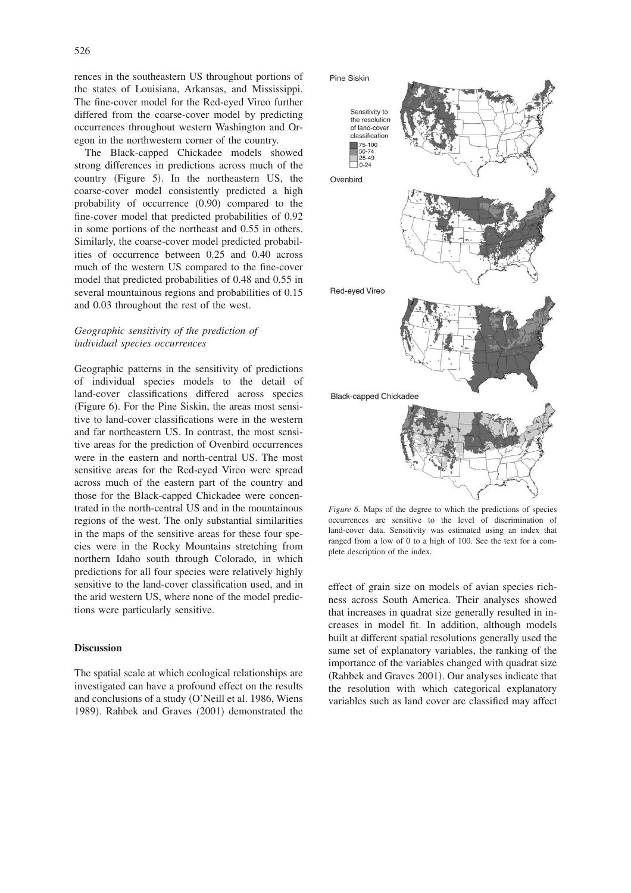rences in the southeastern US throughout portions of the states of Louisiana, Arkansas, and Mississippi. The fine-cover model for the Red-eyed Vireo further differed from the coarse-cover model by predicting occurrences throughout western Washington and Oregon in the northwestern corner of the country.

The Black-capped Chickadee models showed strong differences in predictions across much of the country (Figure 5). In the northeastern US, the coarse-cover model consistently predicted a high probability of occurrence (0.90) compared to the fine-cover model that predicted probabilities of 0.92 in some portions of the northeast and 0.55 in others. Similarly, the coarse-cover model predicted probabilities of occurrence between 0.25 and 0.40 across much of the western US compared to the fine-cover model that predicted probabilities of 0.48 and 0.55 in several mountainous regions and probabilities of  $0.15$ and 0.03 throughout the rest of the west.

# *Geographic sensitivity of the prediction of individual species occurrences*

Geographic patterns in the sensitivity of predictions of individual species models to the detail of land-cover classifications differed across species (Figure 6). For the Pine Siskin, the areas most sensitive to land-cover classifications were in the western and far northeastern US. In contrast, the most sensitive areas for the prediction of Ovenbird occurrences were in the eastern and north-central US. The most sensitive areas for the Red-eyed Vireo were spread across much of the eastern part of the country and those for the Black-capped Chickadee were concentrated in the north-central US and in the mountainous regions of the west. The only substantial similarities in the maps of the sensitive areas for these four species were in the Rocky Mountains stretching from northern Idaho south through Colorado, in which predictions for all four species were relatively highly sensitive to the land-cover classification used, and in the arid western US, where none of the model predictions were particularly sensitive.

### **Discussion**

The spatial scale at which ecological relationships are investigated can have a profound effect on the results and conclusions of a study (O'Neill et al. 1986, Wiens 1989). Rahbek and Graves (2001) demonstrated the



*Figure 6.* Maps of the degree to which the predictions of species occurrences are sensitive to the level of discrimination of land-cover data. Sensitivity was estimated using an index that ranged from a low of 0 to a high of 100. See the text for a complete description of the index.

effect of grain size on models of avian species richness across South America. Their analyses showed that increases in quadrat size generally resulted in increases in model fit. In addition, although models built at different spatial resolutions generally used the same set of explanatory variables, the ranking of the importance of the variables changed with quadrat size (Rahbek and Graves 2001). Our analyses indicate that the resolution with which categorical explanatory variables such as land cover are classified may affect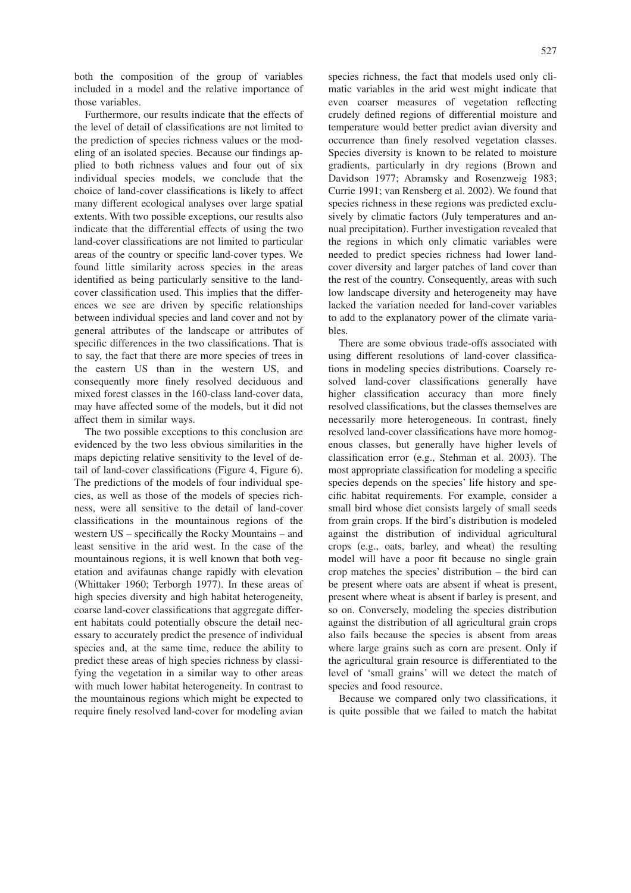both the composition of the group of variables included in a model and the relative importance of those variables.

Furthermore, our results indicate that the effects of the level of detail of classifications are not limited to the prediction of species richness values or the modeling of an isolated species. Because our findings applied to both richness values and four out of six individual species models, we conclude that the choice of land-cover classifications is likely to affect many different ecological analyses over large spatial extents. With two possible exceptions, our results also indicate that the differential effects of using the two land-cover classifications are not limited to particular areas of the country or specific land-cover types. We found little similarity across species in the areas identified as being particularly sensitive to the landcover classification used. This implies that the differences we see are driven by specific relationships between individual species and land cover and not by general attributes of the landscape or attributes of specific differences in the two classifications. That is to say, the fact that there are more species of trees in the eastern US than in the western US, and consequently more finely resolved deciduous and mixed forest classes in the 160-class land-cover data, may have affected some of the models, but it did not affect them in similar ways.

The two possible exceptions to this conclusion are evidenced by the two less obvious similarities in the maps depicting relative sensitivity to the level of detail of land-cover classifications (Figure 4, Figure 6). The predictions of the models of four individual species, as well as those of the models of species richness, were all sensitive to the detail of land-cover classifications in the mountainous regions of the western US – specifically the Rocky Mountains – and least sensitive in the arid west. In the case of the mountainous regions, it is well known that both vegetation and avifaunas change rapidly with elevation (Whittaker 1960; Terborgh 1977). In these areas of high species diversity and high habitat heterogeneity, coarse land-cover classifications that aggregate different habitats could potentially obscure the detail necessary to accurately predict the presence of individual species and, at the same time, reduce the ability to predict these areas of high species richness by classifying the vegetation in a similar way to other areas with much lower habitat heterogeneity. In contrast to the mountainous regions which might be expected to require finely resolved land-cover for modeling avian

species richness, the fact that models used only climatic variables in the arid west might indicate that even coarser measures of vegetation reflecting crudely defined regions of differential moisture and temperature would better predict avian diversity and occurrence than finely resolved vegetation classes. Species diversity is known to be related to moisture gradients, particularly in dry regions (Brown and Davidson 1977; Abramsky and Rosenzweig 1983; Currie 1991; van Rensberg et al. 2002). We found that species richness in these regions was predicted exclusively by climatic factors (July temperatures and annual precipitation). Further investigation revealed that the regions in which only climatic variables were needed to predict species richness had lower landcover diversity and larger patches of land cover than the rest of the country. Consequently, areas with such low landscape diversity and heterogeneity may have lacked the variation needed for land-cover variables to add to the explanatory power of the climate variables.

There are some obvious trade-offs associated with using different resolutions of land-cover classifications in modeling species distributions. Coarsely resolved land-cover classifications generally have higher classification accuracy than more finely resolved classifications, but the classes themselves are necessarily more heterogeneous. In contrast, finely resolved land-cover classifications have more homogenous classes, but generally have higher levels of classification error (e.g., Stehman et al. 2003). The most appropriate classification for modeling a specific species depends on the species' life history and specific habitat requirements. For example, consider a small bird whose diet consists largely of small seeds from grain crops. If the bird's distribution is modeled against the distribution of individual agricultural crops (e.g., oats, barley, and wheat) the resulting model will have a poor fit because no single grain crop matches the species' distribution – the bird can be present where oats are absent if wheat is present, present where wheat is absent if barley is present, and so on. Conversely, modeling the species distribution against the distribution of all agricultural grain crops also fails because the species is absent from areas where large grains such as corn are present. Only if the agricultural grain resource is differentiated to the level of 'small grains' will we detect the match of species and food resource.

Because we compared only two classifications, it is quite possible that we failed to match the habitat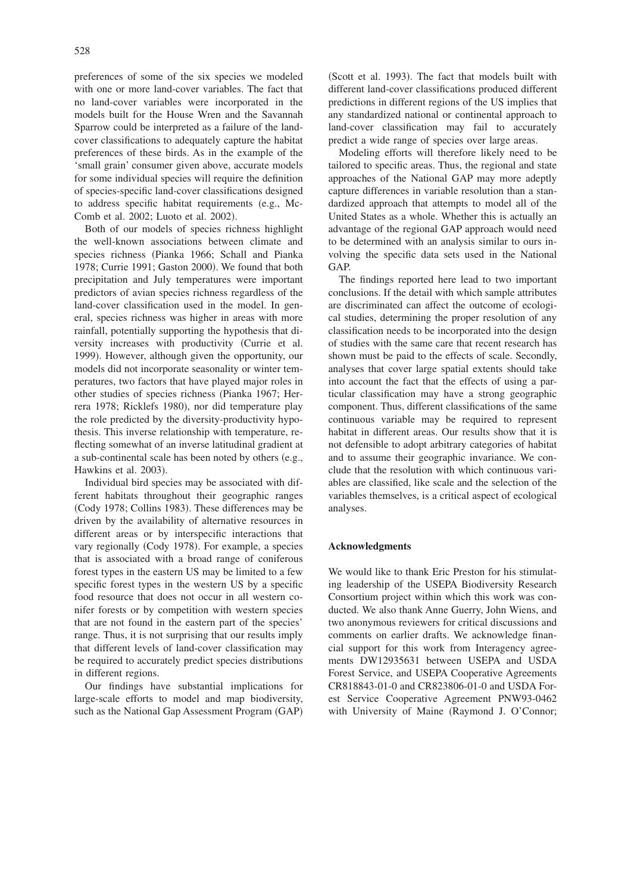preferences of some of the six species we modeled with one or more land-cover variables. The fact that no land-cover variables were incorporated in the models built for the House Wren and the Savannah Sparrow could be interpreted as a failure of the landcover classifications to adequately capture the habitat preferences of these birds. As in the example of the 'small grain' consumer given above, accurate models for some individual species will require the definition of species-specific land-cover classifications designed to address specific habitat requirements (e.g., Mc-Comb et al. 2002; Luoto et al. 2002).

Both of our models of species richness highlight the well-known associations between climate and species richness (Pianka 1966; Schall and Pianka 1978; Currie 1991; Gaston 2000). We found that both precipitation and July temperatures were important predictors of avian species richness regardless of the land-cover classification used in the model. In general, species richness was higher in areas with more rainfall, potentially supporting the hypothesis that diversity increases with productivity Currie et al. 1999). However, although given the opportunity, our models did not incorporate seasonality or winter temperatures, two factors that have played major roles in other studies of species richness (Pianka 1967; Herrera 1978; Ricklefs 1980), nor did temperature play the role predicted by the diversity-productivity hypothesis. This inverse relationship with temperature, reflecting somewhat of an inverse latitudinal gradient at a sub-continental scale has been noted by others (e.g., Hawkins et al. 2003).

Individual bird species may be associated with different habitats throughout their geographic ranges (Cody 1978; Collins 1983). These differences may be driven by the availability of alternative resources in different areas or by interspecific interactions that vary regionally (Cody 1978). For example, a species that is associated with a broad range of coniferous forest types in the eastern US may be limited to a few specific forest types in the western US by a specific food resource that does not occur in all western conifer forests or by competition with western species that are not found in the eastern part of the species' range. Thus, it is not surprising that our results imply that different levels of land-cover classification may be required to accurately predict species distributions in different regions.

Our findings have substantial implications for large-scale efforts to model and map biodiversity, such as the National Gap Assessment Program (GAP)

(Scott et al. 1993). The fact that models built with different land-cover classifications produced different predictions in different regions of the US implies that any standardized national or continental approach to land-cover classification may fail to accurately predict a wide range of species over large areas.

Modeling efforts will therefore likely need to be tailored to specific areas. Thus, the regional and state approaches of the National GAP may more adeptly capture differences in variable resolution than a standardized approach that attempts to model all of the United States as a whole. Whether this is actually an advantage of the regional GAP approach would need to be determined with an analysis similar to ours involving the specific data sets used in the National GAP.

The findings reported here lead to two important conclusions. If the detail with which sample attributes are discriminated can affect the outcome of ecological studies, determining the proper resolution of any classification needs to be incorporated into the design of studies with the same care that recent research has shown must be paid to the effects of scale. Secondly, analyses that cover large spatial extents should take into account the fact that the effects of using a particular classification may have a strong geographic component. Thus, different classifications of the same continuous variable may be required to represent habitat in different areas. Our results show that it is not defensible to adopt arbitrary categories of habitat and to assume their geographic invariance. We conclude that the resolution with which continuous variables are classified, like scale and the selection of the variables themselves, is a critical aspect of ecological analyses.

#### **Acknowledgments**

We would like to thank Eric Preston for his stimulating leadership of the USEPA Biodiversity Research Consortium project within which this work was conducted. We also thank Anne Guerry, John Wiens, and two anonymous reviewers for critical discussions and comments on earlier drafts. We acknowledge financial support for this work from Interagency agreements DW12935631 between USEPA and USDA Forest Service, and USEPA Cooperative Agreements CR818843-01-0 and CR823806-01-0 and USDA Forest Service Cooperative Agreement PNW93-0462 with University of Maine (Raymond J. O'Connor;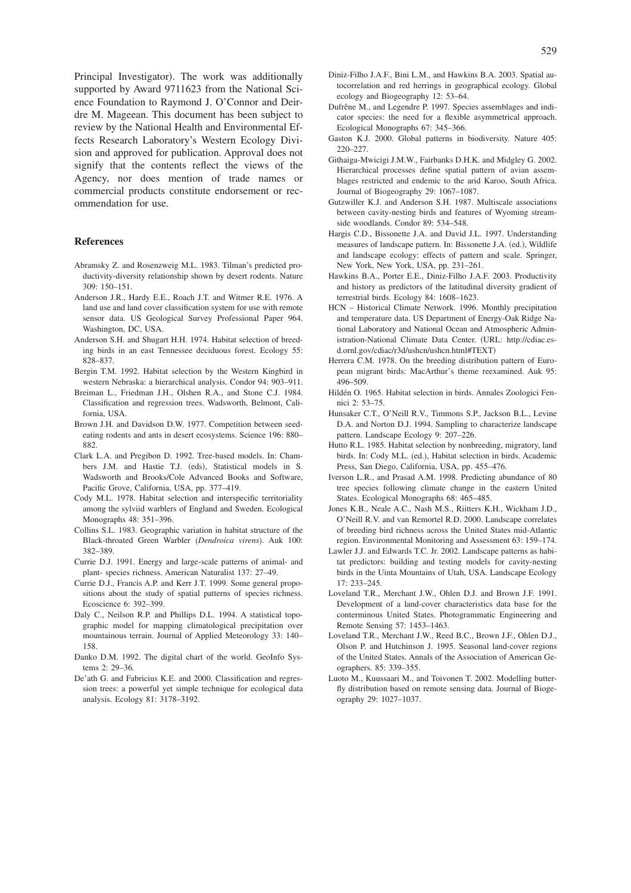Principal Investigator). The work was additionally supported by Award 9711623 from the National Science Foundation to Raymond J. O'Connor and Deirdre M. Mageean. This document has been subject to review by the National Health and Environmental Effects Research Laboratory's Western Ecology Division and approved for publication. Approval does not signify that the contents reflect the views of the Agency, nor does mention of trade names or commercial products constitute endorsement or recommendation for use.

#### **References**

- Abramsky Z. and Rosenzweig M.L. 1983. Tilman's predicted productivity-diversity relationship shown by desert rodents. Nature 309: 150–151.
- Anderson J.R., Hardy E.E., Roach J.T. and Witmer R.E. 1976. A land use and land cover classification system for use with remote sensor data. US Geological Survey Professional Paper 964. Washington, DC, USA.
- Anderson S.H. and Shugart H.H. 1974. Habitat selection of breeding birds in an east Tennessee deciduous forest. Ecology 55: 828–837.
- Bergin T.M. 1992. Habitat selection by the Western Kingbird in western Nebraska: a hierarchical analysis. Condor 94: 903–911.
- Breiman L., Friedman J.H., Olshen R.A., and Stone C.J. 1984. Classification and regression trees. Wadsworth, Belmont, California, USA.
- Brown J.H. and Davidson D.W. 1977. Competition between seedeating rodents and ants in desert ecosystems. Science 196: 880– 882.
- Clark L.A. and Pregibon D. 1992. Tree-based models. In: Chambers J.M. and Hastie T.J. (eds), Statistical models in S. Wadsworth and Brooks/Cole Advanced Books and Software, Pacific Grove, California, USA, pp. 377–419.
- Cody M.L. 1978. Habitat selection and interspecific territoriality among the sylviid warblers of England and Sweden. Ecological Monographs 48: 351–396.
- Collins S.L. 1983. Geographic variation in habitat structure of the Black-throated Green Warbler (Dendroica virens). Auk 100: 382–389.
- Currie D.J. 1991. Energy and large-scale patterns of animal- and plant- species richness. American Naturalist 137: 27–49.
- Currie D.J., Francis A.P. and Kerr J.T. 1999. Some general propositions about the study of spatial patterns of species richness. Ecoscience 6: 392–399.
- Daly C., Neilson R.P. and Phillips D.L. 1994. A statistical topographic model for mapping climatological precipitation over mountainous terrain. Journal of Applied Meteorology 33: 140– 158.
- Danko D.M. 1992. The digital chart of the world. GeoInfo Systems 2: 29–36.
- De'ath G. and Fabricius K.E. and 2000. Classification and regression trees: a powerful yet simple technique for ecological data analysis. Ecology 81: 3178–3192.
- Diniz-Filho J.A.F., Bini L.M., and Hawkins B.A. 2003. Spatial autocorrelation and red herrings in geographical ecology. Global ecology and Biogeography 12: 53–64.
- Dufrêne M., and Legendre P. 1997. Species assemblages and indicator species: the need for a flexible asymmetrical approach. Ecological Monographs 67: 345–366.
- Gaston K.J. 2000. Global patterns in biodiversity. Nature 405: 220–227.
- Githaiga-Mwicigi J.M.W., Fairbanks D.H.K. and Midgley G. 2002. Hierarchical processes define spatial pattern of avian assemblages restricted and endemic to the arid Karoo, South Africa. Journal of Biogeography 29: 1067–1087.
- Gutzwiller K.J. and Anderson S.H. 1987. Multiscale associations between cavity-nesting birds and features of Wyoming streamside woodlands. Condor 89: 534–548.
- Hargis C.D., Bissonette J.A. and David J.L. 1997. Understanding measures of landscape pattern. In: Bissonette J.A. (ed.), Wildlife and landscape ecology: effects of pattern and scale. Springer, New York, New York, USA, pp. 231–261.
- Hawkins B.A., Porter E.E., Diniz-Filho J.A.F. 2003. Productivity and history as predictors of the latitudinal diversity gradient of terrestrial birds. Ecology 84: 1608–1623.
- HCN Historical Climate Network. 1996. Monthly precipitation and temperature data. US Department of Energy-Oak Ridge National Laboratory and National Ocean and Atmospheric Administration-National Climate Data Center. URL: http://cdiac.esd.ornl.gov/cdiac/r3d/ushcn/ushcn.html#TEXT-
- Herrera C.M. 1978. On the breeding distribution pattern of European migrant birds: MacArthur's theme reexamined. Auk 95: 496–509.
- Hildén O. 1965. Habitat selection in birds. Annales Zoologici Fennici 2: 53–75.
- Hunsaker C.T., O'Neill R.V., Timmons S.P., Jackson B.L., Levine D.A. and Norton D.J. 1994. Sampling to characterize landscape pattern. Landscape Ecology 9: 207–226.
- Hutto R.L. 1985. Habitat selection by nonbreeding, migratory, land birds. In: Cody M.L. (ed.), Habitat selection in birds. Academic Press, San Diego, California, USA, pp. 455–476.
- Iverson L.R., and Prasad A.M. 1998. Predicting abundance of 80 tree species following climate change in the eastern United States. Ecological Monographs 68: 465–485.
- Jones K.B., Neale A.C., Nash M.S., Riitters K.H., Wickham J.D., O'Neill R.V. and van Remortel R.D. 2000. Landscape correlates of breeding bird richness across the United States mid-Atlantic region. Environmental Monitoring and Assessment 63: 159–174.
- Lawler J.J. and Edwards T.C. Jr. 2002. Landscape patterns as habitat predictors: building and testing models for cavity-nesting birds in the Uinta Mountains of Utah, USA. Landscape Ecology 17: 233–245.
- Loveland T.R., Merchant J.W., Ohlen D.J. and Brown J.F. 1991. Development of a land-cover characteristics data base for the conterminous United States. Photogrammatic Engineering and Remote Sensing 57: 1453–1463.
- Loveland T.R., Merchant J.W., Reed B.C., Brown J.F., Ohlen D.J., Olson P. and Hutchinson J. 1995. Seasonal land-cover regions of the United States. Annals of the Association of American Geographers. 85: 339–355.
- Luoto M., Kuussaari M., and Toivonen T. 2002. Modelling butterfly distribution based on remote sensing data. Journal of Biogeography 29: 1027–1037.